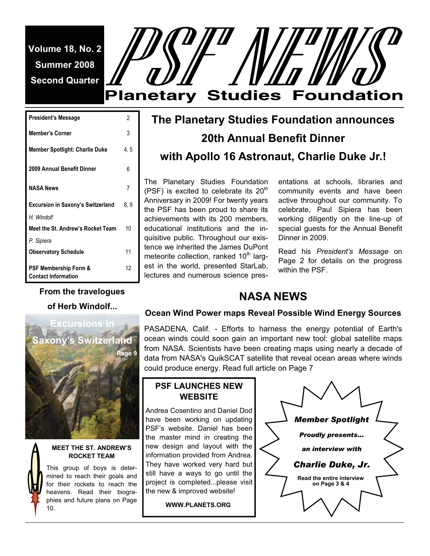**Volume 18, No. 2 Summer 2008 Second Quarter** 



| <b>President's Message</b>                                     | 2    |  |
|----------------------------------------------------------------|------|--|
| <b>Member's Corner</b>                                         | 3    |  |
| <b>Member Spotlight: Charlie Duke</b>                          | 4.5  |  |
| 2009 Annual Benefit Dinner                                     | 6    |  |
| NASA News                                                      | 7    |  |
| <b>Excursion in Saxony's Switzerland</b>                       | 8, 9 |  |
| H Windolf                                                      |      |  |
| Meet the St. Andrew's Rocket Team                              | 10   |  |
| P. Sipiera                                                     |      |  |
| <b>Observatory Schedule</b>                                    | 11   |  |
| <b>PSF Membership Form &amp;</b><br><b>Contact Information</b> | 12   |  |

### **From the travelogues**

### **of Herb Windolf...**





### **MEET THE ST. ANDREW'S ROCKET TEAM**

This group of boys is determined to reach their goals and for their rockets to reach the heavens. Read their biographies and future plans on Page 10.

# **The Planetary Studies Foundation announces 20th Annual Benefit Dinner with Apollo 16 Astronaut, Charlie Duke Jr.!**

The Planetary Studies Foundation (PSF) is excited to celebrate its  $20<sup>th</sup>$ Anniversary in 2009! For twenty years the PSF has been proud to share its achievements with its 200 members, educational institutions and the inquisitive public. Throughout our existence we inherited the James DuPont meteorite collection, ranked 10<sup>th</sup> largest in the world, presented StarLab, ectures and numerous science presentations at schools, libraries and community events and have been active throughout our community. To celebrate, Paul Sipiera has been working diligently on the line-up of special guests for the Annual Benefit Dinner in 2009.

Read his *President's Message* on Page 2 for details on the progress within the PSF.

### **NASA NEWS**

### **Ocean Wind Power maps Reveal Possible Wind Energy Sources**

PASADENA, Calif. - Efforts to harness the energy potential of Earth's ocean winds could soon gain an important new tool: global satellite maps from NASA. Scientists have been creating maps using nearly a decade of data from NASA's QuikSCAT satellite that reveal ocean areas where winds could produce energy. Read full article on Page 7

### **PSF LAUNCHES NEW WEBSITE**

Andrea Cosentino and Daniel Dod have been working on updating PSF's website. Daniel has been the master mind in creating the new design and layout with the information provided from Andrea. They have worked very hard but still have a ways to go until the project is completed...please visit the new & improved website!

**WWW.PLANETS.ORG** 

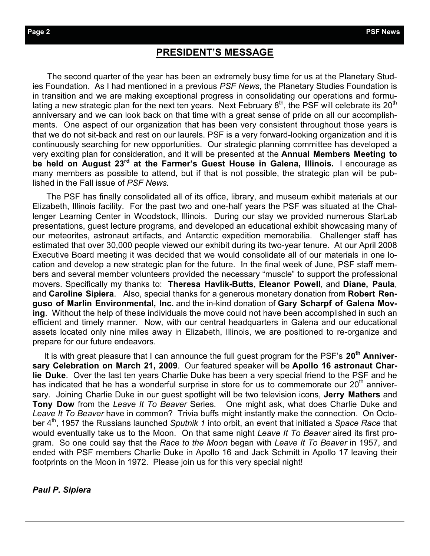### **PRESIDENT'S MESSAGE**

The second quarter of the year has been an extremely busy time for us at the Planetary Studies Foundation. As I had mentioned in a previous *PSF News*, the Planetary Studies Foundation is in transition and we are making exceptional progress in consolidating our operations and formulating a new strategic plan for the next ten years. Next February  $8<sup>th</sup>$ , the PSF will celebrate its  $20<sup>th</sup>$ anniversary and we can look back on that time with a great sense of pride on all our accomplishments. One aspect of our organization that has been very consistent throughout those years is that we do not sit-back and rest on our laurels. PSF is a very forward-looking organization and it is continuously searching for new opportunities. Our strategic planning committee has developed a very exciting plan for consideration, and it will be presented at the **Annual Members Meeting to**  be held on August 23<sup>rd</sup> at the Farmer's Guest House in Galena, Illinois. I encourage as many members as possible to attend, but if that is not possible, the strategic plan will be published in the Fall issue of *PSF News.*

 The PSF has finally consolidated all of its office, library, and museum exhibit materials at our Elizabeth, Illinois facility. For the past two and one-half years the PSF was situated at the Challenger Learning Center in Woodstock, Illinois. During our stay we provided numerous StarLab presentations, guest lecture programs, and developed an educational exhibit showcasing many of our meteorites, astronaut artifacts, and Antarctic expedition memorabilia. Challenger staff has estimated that over 30,000 people viewed our exhibit during its two-year tenure. At our April 2008 Executive Board meeting it was decided that we would consolidate all of our materials in one location and develop a new strategic plan for the future. In the final week of June, PSF staff members and several member volunteers provided the necessary "muscle" to support the professional movers. Specifically my thanks to: **Theresa Havlik-Butts**, **Eleanor Powell**, and **Diane, Paula**, and **Caroline Sipiera**. Also, special thanks for a generous monetary donation from **Robert Renguso of Marlin Environmental, Inc.** and the in-kind donation of **Gary Scharpf of Galena Moving**. Without the help of these individuals the move could not have been accomplished in such an efficient and timely manner. Now, with our central headquarters in Galena and our educational assets located only nine miles away in Elizabeth, Illinois, we are positioned to re-organize and prepare for our future endeavors.

It is with great pleasure that I can announce the full guest program for the PSF's 20<sup>th</sup> Anniver**sary Celebration on March 21, 2009**. Our featured speaker will be **Apollo 16 astronaut Charlie Duke**. Over the last ten years Charlie Duke has been a very special friend to the PSF and he has indicated that he has a wonderful surprise in store for us to commemorate our  $20<sup>th</sup>$  anniversary. Joining Charlie Duke in our guest spotlight will be two television icons, **Jerry Mathers** and **Tony Dow** from the *Leave It To Beaver* Series*.* One might ask, what does Charlie Duke and *Leave It To Beaver* have in common? Trivia buffs might instantly make the connection. On October 4<sup>th</sup>, 1957 the Russians launched *Sputnik 1* into orbit, an event that initiated a *Space Race* that would eventually take us to the Moon. On that same night *Leave It To Beaver* aired its first program. So one could say that the *Race to the Moon* began with *Leave It To Beaver* in 1957, and ended with PSF members Charlie Duke in Apollo 16 and Jack Schmitt in Apollo 17 leaving their footprints on the Moon in 1972. Please join us for this very special night!

### *Paul P. Sipiera*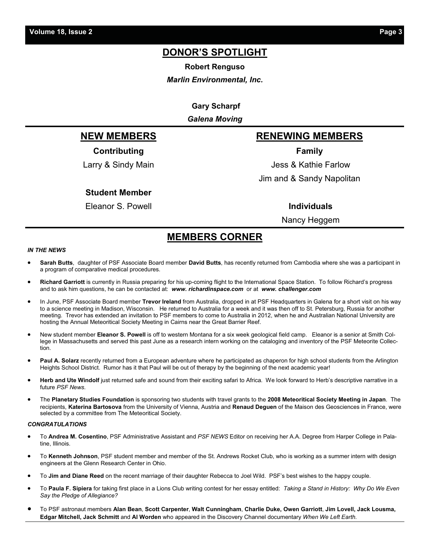### **DONOR'S SPOTLIGHT**

**Robert Renguso** 

*Marlin Environmental, Inc.* 

**Gary Scharpf** 

### *Galena Moving*

### **NEW MEMBERS**

**Contributing**

Larry & Sindy Main

### **Student Member**

Eleanor S. Powell

**RENEWING MEMBERS**

**Family** 

 Jess & Kathie Farlow Jim and & Sandy Napolitan

**Individuals** 

Nancy Heggem

### **MEMBERS CORNER**

#### *IN THE NEWS*

- Sarah Butts, daughter of PSF Associate Board member David Butts, has recently returned from Cambodia where she was a participant in a program of comparative medical procedures.
- x **Richard Garriott** is currently in Russia preparing for his up-coming flight to the International Space Station. To follow Richard's progress and to ask him questions, he can be contacted at: *www. richardinspace.com* or at *www. challenger.com*
- x In June, PSF Associate Board member **Trevor Ireland** from Australia, dropped in at PSF Headquarters in Galena for a short visit on his way to a science meeting in Madison, Wisconsin. He returned to Australia for a week and it was then off to St. Petersburg, Russia for another meeting. Trevor has extended an invitation to PSF members to come to Australia in 2012, when he and Australian National University are hosting the Annual Meteoritical Society Meeting in Cairns near the Great Barrier Reef.
- New student member Eleanor S. Powell is off to western Montana for a six week geological field camp. Eleanor is a senior at Smith College in Massachusetts and served this past June as a research intern working on the cataloging and inventory of the PSF Meteorite Collection.
- **Paul A. Solarz** recently returned from a European adventure where he participated as chaperon for high school students from the Arlington Heights School District. Rumor has it that Paul will be out of therapy by the beginning of the next academic year!
- Herb and Ute Windolf just returned safe and sound from their exciting safari to Africa. We look forward to Herb's descriptive narrative in a future *PSF News*.
- x The **Planetary Studies Foundation** is sponsoring two students with travel grants to the **2008 Meteoritical Society Meeting in Japan**. The recipients, **Katerina Bartosova** from the University of Vienna, Austria and **Renaud Deguen** of the Maison des Geosciences in France, were selected by a committee from The Meteoritical Society.

#### *CONGRATULATIONS*

- x To **Andrea M. Cosentino**, PSF Administrative Assistant and *PSF NEWS* Editor on receiving her A.A. Degree from Harper College in Palatine, Illinois.
- To Kenneth Johnson, PSF student member and member of the St. Andrews Rocket Club, who is working as a summer intern with design engineers at the Glenn Research Center in Ohio.
- x To **Jim and Diane Reed** on the recent marriage of their daughter Rebecca to Joel Wild. PSF's best wishes to the happy couple.
- x To **Paula F. Sipiera** for taking first place in a Lions Club writing contest for her essay entitled: *Taking a Stand in History: Why Do We Even Say the Pledge of Allegiance?*
- x To PSF astronaut members **Alan Bean**, **Scott Carpenter**, **Walt Cunningham**, **Charlie Duke, Owen Garriott**, **Jim Lovell, Jack Lousma, Edgar Mitchell, Jack Schmitt** and **Al Worden** who appeared in the Discovery Channel documentary *When We Left Earth.*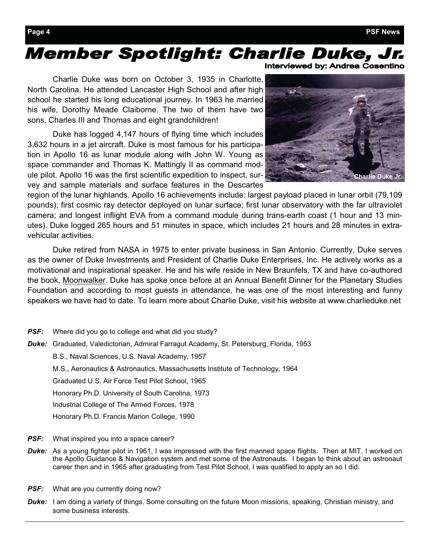# **Member Spotlight: Charlie Duke, Jr.** Interviewed by: Andrea Cosentino

Charlie Duke was born on October 3, 1935 in Charlotte, North Carolina. He attended Lancaster High School and after high school he started his long educational journey. In 1963 he married his wife, Dorothy Meade Claiborne. The two of them have two sons, Charles III and Thomas and eight grandchildren!

Duke has logged 4,147 hours of flying time which includes 3,632 hours in a jet aircraft. Duke is most famous for his participation in Apollo 16 as lunar module along with John W. Young as space commander and Thomas K. Mattingly II as command module pilot. Apollo 16 was the first scientific expedition to inspect, survey and sample materials and surface features in the Descartes



region of the lunar highlands. Apollo 16 achievements include: largest payload placed in lunar orbit (79,109 pounds); first cosmic ray detector deployed on lunar surface; first lunar observatory with the far ultraviolet camera; and longest inflight EVA from a command module during trans-earth coast (1 hour and 13 minutes). Duke logged 265 hours and 51 minutes in space, which includes 21 hours and 28 minutes in extravehicular activities.

Duke retired from NASA in 1975 to enter private business in San Antonio. Currently, Duke serves as the owner of Duke Investments and President of Charlie Duke Enterprises, Inc. He actively works as a motivational and inspirational speaker. He and his wife reside in New Braunfels, TX and have co-authored the book, Moonwalker. Duke has spoke once before at an Annual Benefit Dinner for the Planetary Studies Foundation and according to most guests in attendance, he was one of the most interesting and funny speakers we have had to date. To learn more about Charlie Duke, visit his website at www.charlieduke.net

- **PSF:** Where did you go to college and what did you study?
- *Duke:* Graduated, Valedictorian, Admiral Farragut Academy, St. Petersburg, Florida, 1953

B.S., Naval Sciences, U.S. Naval Academy, 1957

M.S., Aeronautics & Astronautics, Massachusetts Institute of Technology, 1964

Graduated U.S. Air Force Test Pilot School, 1965

Honorary Ph.D. University of South Carolina, 1973

Industrial College of The Armed Forces, 1978

Honorary Ph.D. Francis Marion College, 1990

- **PSF:** What inspired you into a space career?
- *Duke:* As a young fighter pilot in 1961, I was impressed with the first manned space flights. Then at MIT, I worked on the Apollo Guidance & Navigation system and met some of the Astronauts. I began to think about an astronaut career then and in 1965 after graduating from Test Pilot School, I was qualified to apply an so I did.
- **PSF:** What are you currently doing now?
- *Duke:* I am doing a variety of things. Some consulting on the future Moon missions, speaking, Christian ministry, and some business interests.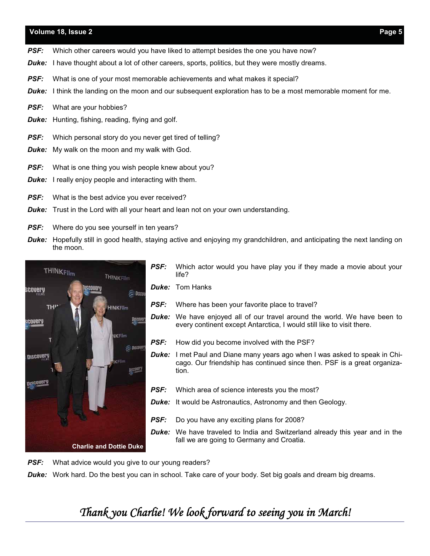### Volume 18, Issue 2 **Page 5 Volume 18, Issue 2 Page 5**

**PSF:** Which other careers would you have liked to attempt besides the one you have now?

- **Duke:** I have thought about a lot of other careers, sports, politics, but they were mostly dreams.
- **PSF:** What is one of your most memorable achievements and what makes it special?
- **Duke:** I think the landing on the moon and our subsequent exploration has to be a most memorable moment for me.
- *PSF:* What are your hobbies?
- **Duke:** Hunting, fishing, reading, flying and golf.
- **PSF:** Which personal story do you never get tired of telling?
- **Duke:** My walk on the moon and my walk with God.
- **PSF:** What is one thing you wish people knew about you?
- **Duke:** I really enjoy people and interacting with them.
- **PSF:** What is the best advice you ever received?
- **Duke:** Trust in the Lord with all your heart and lean not on your own understanding.
- **PSF:** Where do you see yourself in ten years?
- *Duke:* Hopefully still in good health, staying active and enjoying my grandchildren, and anticipating the next landing on the moon.



**PSF:** What advice would you give to our young readers?

*Duke:* Work hard. Do the best you can in school. Take care of your body. Set big goals and dream big dreams.

# Thank you Charlie! We look forward to seeing you in March!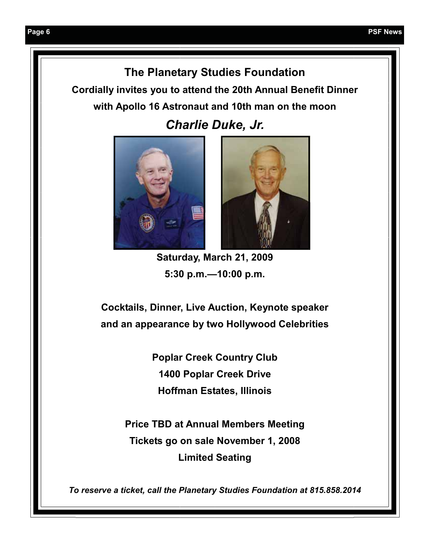**The Planetary Studies Foundation Cordially invites you to attend the 20th Annual Benefit Dinner with Apollo 16 Astronaut and 10th man on the moon**  *Charlie Duke, Jr.* 





**Saturday, March 21, 2009 5:30 p.m.—10:00 p.m.** 

**Cocktails, Dinner, Live Auction, Keynote speaker and an appearance by two Hollywood Celebrities** 

> **Poplar Creek Country Club 1400 Poplar Creek Drive Hoffman Estates, Illinois**

**Price TBD at Annual Members Meeting Tickets go on sale November 1, 2008 Limited Seating** 

*To reserve a ticket, call the Planetary Studies Foundation at 815.858.2014*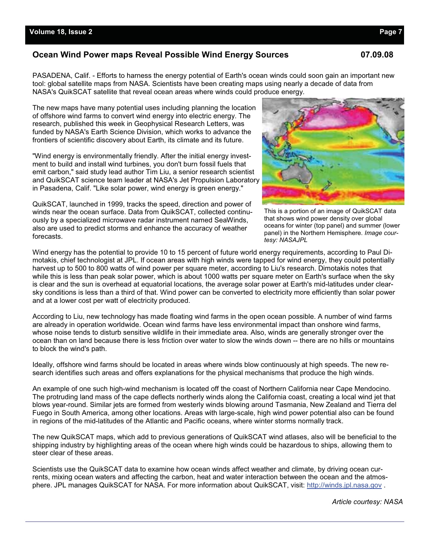### **Ocean Wind Power maps Reveal Possible Wind Energy Sources 07.09.08**

PASADENA, Calif. - Efforts to harness the energy potential of Earth's ocean winds could soon gain an important new tool: global satellite maps from NASA. Scientists have been creating maps using nearly a decade of data from NASA's QuikSCAT satellite that reveal ocean areas where winds could produce energy.

The new maps have many potential uses including planning the location of offshore wind farms to convert wind energy into electric energy. The research, published this week in Geophysical Research Letters, was funded by NASA's Earth Science Division, which works to advance the frontiers of scientific discovery about Earth, its climate and its future.

"Wind energy is environmentally friendly. After the initial energy investment to build and install wind turbines, you don't burn fossil fuels that emit carbon," said study lead author Tim Liu, a senior research scientist and QuikSCAT science team leader at NASA's Jet Propulsion Laboratory in Pasadena, Calif. "Like solar power, wind energy is green energy."

QuikSCAT, launched in 1999, tracks the speed, direction and power of winds near the ocean surface. Data from QuikSCAT, collected continuously by a specialized microwave radar instrument named SeaWinds, also are used to predict storms and enhance the accuracy of weather forecasts.

This is a portion of an image of QuikSCAT data that shows wind power density over global oceans for winter (top panel) and summer (lower panel) in the Northern Hemisphere. *Image courtesy: NASAJPL*

Wind energy has the potential to provide 10 to 15 percent of future world energy requirements, according to Paul Dimotakis, chief technologist at JPL. If ocean areas with high winds were tapped for wind energy, they could potentially harvest up to 500 to 800 watts of wind power per square meter, according to Liu's research. Dimotakis notes that while this is less than peak solar power, which is about 1000 watts per square meter on Earth's surface when the sky is clear and the sun is overhead at equatorial locations, the average solar power at Earth's mid-latitudes under clearsky conditions is less than a third of that. Wind power can be converted to electricity more efficiently than solar power and at a lower cost per watt of electricity produced.

According to Liu, new technology has made floating wind farms in the open ocean possible. A number of wind farms are already in operation worldwide. Ocean wind farms have less environmental impact than onshore wind farms, whose noise tends to disturb sensitive wildlife in their immediate area. Also, winds are generally stronger over the ocean than on land because there is less friction over water to slow the winds down -- there are no hills or mountains to block the wind's path.

Ideally, offshore wind farms should be located in areas where winds blow continuously at high speeds. The new research identifies such areas and offers explanations for the physical mechanisms that produce the high winds.

An example of one such high-wind mechanism is located off the coast of Northern California near Cape Mendocino. The protruding land mass of the cape deflects northerly winds along the California coast, creating a local wind jet that blows year-round. Similar jets are formed from westerly winds blowing around Tasmania, New Zealand and Tierra del Fuego in South America, among other locations. Areas with large-scale, high wind power potential also can be found in regions of the mid-latitudes of the Atlantic and Pacific oceans, where winter storms normally track.

The new QuikSCAT maps, which add to previous generations of QuikSCAT wind atlases, also will be beneficial to the shipping industry by highlighting areas of the ocean where high winds could be hazardous to ships, allowing them to steer clear of these areas.

Scientists use the QuikSCAT data to examine how ocean winds affect weather and climate, by driving ocean currents, mixing ocean waters and affecting the carbon, heat and water interaction between the ocean and the atmosphere. JPL manages QuikSCAT for NASA. For more information about QuikSCAT, visit: http://winds.jpl.nasa.gov .

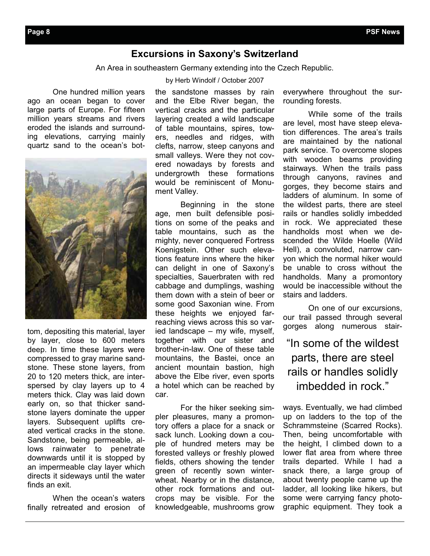### **Excursions in Saxony's Switzerland**

An Area in southeastern Germany extending into the Czech Republic.

One hundred million years ago an ocean began to cover large parts of Europe. For fifteen million years streams and rivers eroded the islands and surrounding elevations, carrying mainly quartz sand to the ocean's bot-



tom, depositing this material, layer by layer, close to 600 meters deep. In time these layers were compressed to gray marine sandstone. These stone layers, from 20 to 120 meters thick, are interspersed by clay layers up to 4 meters thick. Clay was laid down early on, so that thicker sandstone layers dominate the upper layers. Subsequent uplifts created vertical cracks in the stone. Sandstone, being permeable, allows rainwater to penetrate downwards until it is stopped by an impermeable clay layer which directs it sideways until the water finds an exit.

When the ocean's waters finally retreated and erosion of

### by Herb Windolf / October 2007

the sandstone masses by rain and the Elbe River began, the vertical cracks and the particular layering created a wild landscape of table mountains, spires, towers, needles and ridges, with clefts, narrow, steep canyons and small valleys. Were they not covered nowadays by forests and undergrowth these formations would be reminiscent of Monument Valley.

Beginning in the stone age, men built defensible positions on some of the peaks and table mountains, such as the mighty, never conquered Fortress Koenigstein. Other such elevations feature inns where the hiker can delight in one of Saxony's specialties, Sauerbraten with red cabbage and dumplings, washing them down with a stein of beer or some good Saxonian wine. From these heights we enjoyed farreaching views across this so varied landscape – my wife, myself, together with our sister and brother-in-law. One of these table mountains, the Bastei, once an ancient mountain bastion, high above the Elbe river, even sports a hotel which can be reached by car.

For the hiker seeking simpler pleasures, many a promontory offers a place for a snack or sack lunch. Looking down a couple of hundred meters may be forested valleys or freshly plowed fields, others showing the tender green of recently sown winterwheat. Nearby or in the distance, other rock formations and outcrops may be visible. For the knowledgeable, mushrooms grow everywhere throughout the surrounding forests.

While some of the trails are level, most have steep elevation differences. The area's trails are maintained by the national park service. To overcome slopes with wooden beams providing stairways. When the trails pass through canyons, ravines and gorges, they become stairs and ladders of aluminum. In some of the wildest parts, there are steel rails or handles solidly imbedded in rock. We appreciated these handholds most when we descended the Wilde Hoelle (Wild Hell), a convoluted, narrow canyon which the normal hiker would be unable to cross without the handholds. Many a promontory would be inaccessible without the stairs and ladders.

On one of our excursions, our trail passed through several gorges along numerous stair-

# "In some of the wildest parts, there are steel rails or handles solidly imbedded in rock."

ways. Eventually, we had climbed up on ladders to the top of the Schrammsteine (Scarred Rocks). Then, being uncomfortable with the height, I climbed down to a lower flat area from where three trails departed. While I had a snack there, a large group of about twenty people came up the ladder, all looking like hikers, but some were carrying fancy photographic equipment. They took a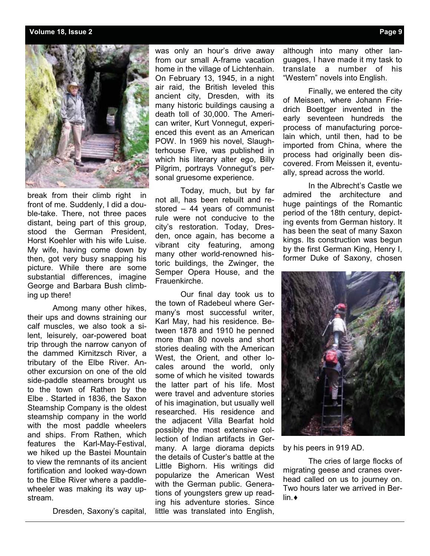

break from their climb right in front of me. Suddenly, I did a double-take. There, not three paces distant, being part of this group, stood the German President, Horst Koehler with his wife Luise. My wife, having come down by then, got very busy snapping his picture. While there are some substantial differences, imagine George and Barbara Bush climbing up there!

Among many other hikes, their ups and downs straining our calf muscles, we also took a silent, leisurely, oar-powered boat trip through the narrow canyon of the dammed Kirnitzsch River, a tributary of the Elbe River. Another excursion on one of the old side-paddle steamers brought us to the town of Rathen by the Elbe . Started in 1836, the Saxon Steamship Company is the oldest steamship company in the world with the most paddle wheelers and ships. From Rathen, which features the Karl-May-Festival, we hiked up the Bastei Mountain to view the remnants of its ancient fortification and looked way-down to the Elbe River where a paddlewheeler was making its way upstream.

Dresden, Saxony's capital,

was only an hour's drive away from our small A-frame vacation home in the village of Lichtenhain. On February 13, 1945, in a night air raid, the British leveled this ancient city, Dresden, with its many historic buildings causing a death toll of 30,000. The American writer, Kurt Vonnegut, experienced this event as an American POW. In 1969 his novel, Slaughterhouse Five, was published in which his literary alter ego. Billy Pilgrim, portrays Vonnegut's personal gruesome experience.

Today, much, but by far not all, has been rebuilt and restored – 44 years of communist rule were not conducive to the city's restoration. Today, Dresden, once again, has become a vibrant city featuring, among many other world-renowned historic buildings, the Zwinger, the Semper Opera House, and the Frauenkirche.

Our final day took us to the town of Radebeul where Germany's most successful writer, Karl May, had his residence. Between 1878 and 1910 he penned more than 80 novels and short stories dealing with the American West, the Orient, and other locales around the world, only some of which he visited towards the latter part of his life. Most were travel and adventure stories of his imagination, but usually well researched. His residence and the adjacent Villa Bearfat hold possibly the most extensive collection of Indian artifacts in Germany. A large diorama depicts the details of Custer's battle at the Little Bighorn. His writings did popularize the American West with the German public. Generations of youngsters grew up reading his adventure stories. Since little was translated into English, although into many other languages, I have made it my task to translate a number of his "Western" novels into English.

Finally, we entered the city of Meissen, where Johann Friedrich Boettger invented in the early seventeen hundreds the process of manufacturing porcelain which, until then, had to be imported from China, where the process had originally been discovered. From Meissen it, eventually, spread across the world.

In the Albrecht's Castle we admired the architecture and huge paintings of the Romantic period of the 18th century, depicting events from German history. It has been the seat of many Saxon kings. Its construction was begun by the first German King, Henry I, former Duke of Saxony, chosen



by his peers in 919 AD.

The cries of large flocks of migrating geese and cranes overhead called on us to journey on. Two hours later we arrived in Berlin. $\triangle$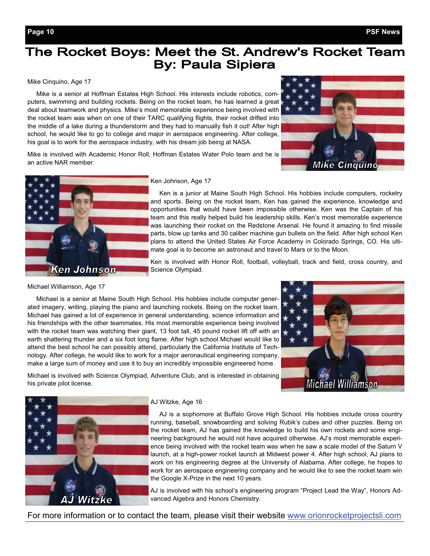# The Rocket Boys: Meet the St. Andrew's Rocket Team **By: Paula Sipiera**

#### Mike Cinquino, Age 17

 Mike is a senior at Hoffman Estates High School. His interests include robotics, computers, swimming and building rockets. Being on the rocket team, he has learned a great deal about teamwork and physics. Mike's most memorable experience being involved with the rocket team was when on one of their TARC qualifying flights, their rocket drifted into the middle of a lake during a thunderstorm and they had to manually fish it out! After high school, he would like to go to college and major in aerospace engineering. After college, his goal is to work for the aerospace industry, with his dream job being at NASA.

Mike is involved with Academic Honor Roll, Hoffman Estates Water Polo team and he is an active NAR member.





#### Ken Johnson, Age 17

 Ken is a junior at Maine South High School. His hobbies include computers, rocketry and sports. Being on the rocket team, Ken has gained the experience, knowledge and opportunities that would have been impossible otherwise. Ken was the Captain of his team and this really helped build his leadership skills. Ken's most memorable experience was launching their rocket on the Redstone Arsenal. He found it amazing to find missile parts, blow up tanks and 30 caliber machine gun bullets on the field. After high school Ken plans to attend the United States Air Force Academy in Colorado Springs, CO. His ultimate goal is to become an astronaut and travel to Mars or to the Moon.

Ken is involved with Honor Roll, football, volleyball, track and field, cross country, and Science Olympiad.

#### Michael Williamson, Age 17

his private pilot license.

 Michael is a senior at Maine South High School. His hobbies include computer generated imagery, writing, playing the piano and launching rockets. Being on the rocket team, Michael has gained a lot of experience in general understanding, science information and his friendships with the other teammates. His most memorable experience being involved with the rocket team was watching their giant, 13 foot tall, 45 pound rocket lift off with an earth shattering thunder and a six foot long flame. After high school Michael would like to attend the best school he can possibly attend, particularly the California Institute of Technology. After college, he would like to work for a major aeronautical engineering company, make a large sum of money and use it to buy an incredibly impossible engineered home.

Michael is involved with Science Olympiad, Adventure Club, and is interested in obtaining

Michael Williamson



#### AJ Witzke, Age 16

 AJ is a sophomore at Buffalo Grove High School. His hobbies include cross country running, baseball, snowboarding and solving Rubik's cubes and other puzzles. Being on the rocket team, AJ has gained the knowledge to build his own rockets and some engineering background he would not have acquired otherwise. AJ's most memorable experience being involved with the rocket team was when he saw a scale model of the Saturn V launch, at a high-power rocket launch at Midwest power 4. After high school, AJ plans to work on his engineering degree at the University of Alabama. After college, he hopes to work for an aerospace engineering company and he would like to see the rocket team win the Google X-Prize in the next 10 years.

AJ is involved with his school's engineering program "Project Lead the Way", Honors Advanced Algebra and Honors Chemistry.

For more information or to contact the team, please visit their website www.orionrocketprojectsli.com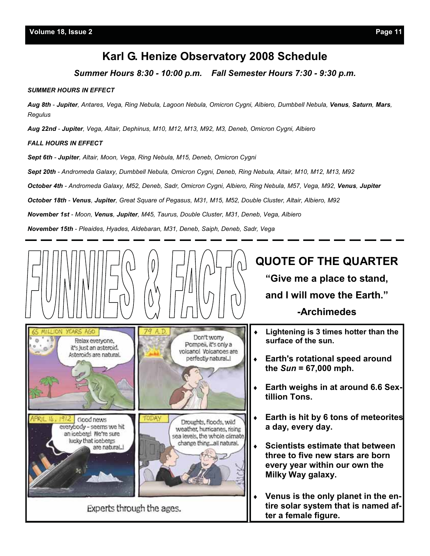## **Karl G. Henize Observatory 2008 Schedule**

*Summer Hours 8:30 - 10:00 p.m. Fall Semester Hours 7:30 - 9:30 p.m.* 

### *SUMMER HOURS IN EFFECT*

*Aug 8th - Jupiter, Antares, Vega, Ring Nebula, Lagoon Nebula, Omicron Cygni, Albiero, Dumbbell Nebula, Venus, Saturn, Mars, Regulus* 

*Aug 22nd - Jupiter, Vega, Altair, Dephinus, M10, M12, M13, M92, M3, Deneb, Omicron Cygni, Albiero* 

### *FALL HOURS IN EFFECT*

*Sept 6th - Jupiter, Altair, Moon, Vega, Ring Nebula, M15, Deneb, Omicron Cygni* 

*Sept 20th - Andromeda Galaxy, Dumbbell Nebula, Omicron Cygni, Deneb, Ring Nebula, Altair, M10, M12, M13, M92* 

*October 4th - Andromeda Galaxy, M52, Deneb, Sadr, Omicron Cygni, Albiero, Ring Nebula, M57, Vega, M92, Venus, Jupiter*

*October 18th - Venus, Jupiter, Great Square of Pegasus, M31, M15, M52, Double Cluster, Altair, Albiero, M92* 

*November 1st - Moon, Venus, Jupiter, M45, Taurus, Double Cluster, M31, Deneb, Vega, Albiero* 

*November 15th - Pleaides, Hyades, Aldebaran, M31, Deneb, Saiph, Deneb, Sadr, Vega*